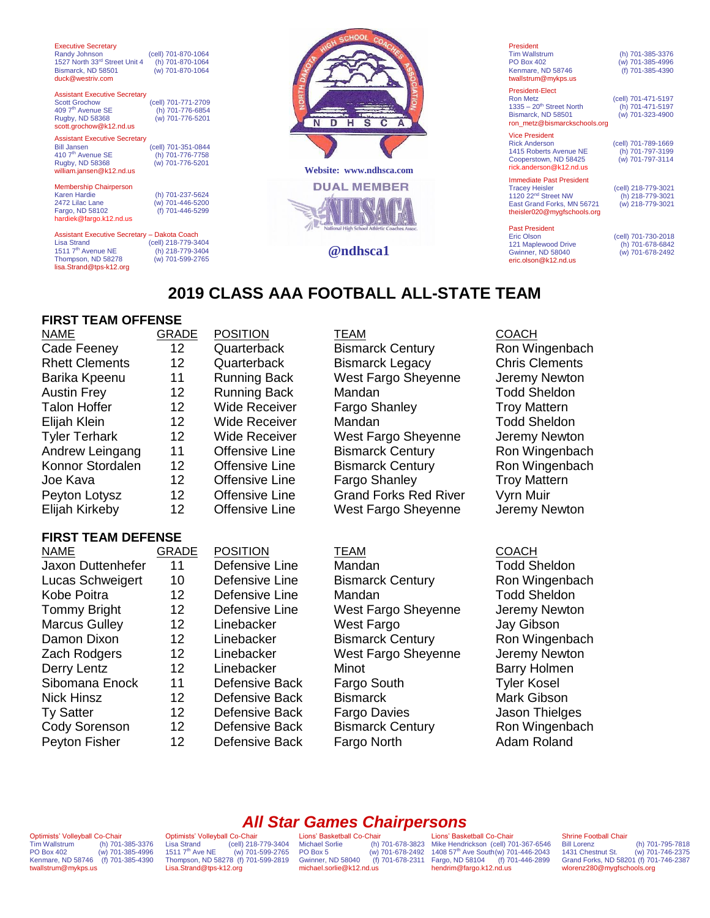| <b>Executive Secretary</b><br>Randy Johnson<br>1527 North 33rd Street Unit 4<br>Bismarck, ND 58501<br>duck@westriv.com                      | (cell) 701-870-1064<br>(h) 701-870-1064<br>(w) 701-870-1064 |             |
|---------------------------------------------------------------------------------------------------------------------------------------------|-------------------------------------------------------------|-------------|
| <b>Assistant Executive Secretary</b><br><b>Scott Grochow</b><br>409 7 <sup>th</sup> Avenue SE<br>Rugby, ND 58368<br>scott.grochow@k12.nd.us | (cell) 701-771-2709<br>(h) 701-776-6854<br>(w) 701-776-5201 |             |
| <b>Assistant Executive Secretary</b><br><b>Bill Jansen</b><br>410 7 <sup>th</sup> Avenue SE<br>Rugby, ND 58368<br>william.jansen@k12.nd.us  | (cell) 701-351-0844<br>(h) 701-776-7758<br>(w) 701-776-5201 | <b>Webs</b> |
| <b>Membership Chairperson</b><br><b>Karen Hardie</b><br>2472 Lilac Lane<br>Fargo, ND 58102<br>hardiek@fargo.k12.nd.us                       | (h) 701-237-5624<br>(w) 701-446-5200<br>(f) 701-446-5299    | DL          |
| Assistant Executive Secretary - Dakota Coach<br><b>Lisa Strand</b><br>1511 7 <sup>th</sup> Avenue NE<br>Thompson, ND 58278                  | (cell) 218-779-3404<br>(h) 218-779-3404<br>(w) 701-599-2765 |             |



| President            |
|----------------------|
| <b>Tim Wallstrum</b> |
| <b>PO Box 402</b>    |
| Kenmare, ND 58746    |
| twallstrum@mykps.us  |

**Vice President<br>Rick Anderson** 

(h) 701-385-3376  $(w)$  701-385-4996  $(h)$  701-385-4390

President-Elect<br>Ron Metz (cell) 701-471-5197<br>(h) 701-471-5197  $1335 - 20<sup>th</sup>$  Street North<br>Bismarck ND 58501 ron\_metz@bismarckschools.org

(cell) 701-789-1669<br>(b) 701-797-3199 1415 Roberts Avenue NE (h) 701-797-3199<br>Cooperstown, ND 58425 (w) 701-797-3114

 $(w)$  701-323-4900

Cooperstown, ND 58425 rick.anderson@k12.nd.us **Immediate Past President**<br>Tracev Heisler (cell) 218-779-3021<br>(h) 218-779-3021

1120 22<sup>nd</sup> Street NW (h) 218-779-3021<br>East Grand Forks, MN 56721 (w) 218-779-3021 East Grand Forks, MN 56721 theisler020@mygfschools.org

Past President<br>Eric Olson 121 Maplewood Drive (h) 701-678-6842 Gwinner, ND 58040 (w) 701-678-2492 [eric.olson@k12.nd.us](mailto:eric.olson@k12.nd.us)

(cell) 701-730-2018<br>(h) 701-678-6842

## **2019 CLASS AAA FOOTBALL ALL-STATE TEAM**

## **FIRST TEAM OFFENSE**

Thompson, ND 58278 (w) 701-599-2765 [lisa.Strand@tps-k12.org](mailto:lisa.Strand@tps-k12.org)

| <b>NAME</b>           | <b>GRADE</b>    | <b>POSITION</b>      | TEAM                         | <b>COACH</b>       |
|-----------------------|-----------------|----------------------|------------------------------|--------------------|
| Cade Feeney           | 12 <sup>2</sup> | Quarterback          | <b>Bismarck Century</b>      | Ron Wi             |
| <b>Rhett Clements</b> | 12 <sup>°</sup> | Quarterback          | <b>Bismarck Legacy</b>       | Chris <sub>C</sub> |
| Barika Kpeenu         | 11              | <b>Running Back</b>  | West Fargo Sheyenne          | Jeremy             |
| <b>Austin Frey</b>    | 12 <sup>°</sup> | <b>Running Back</b>  | Mandan                       | Todd S             |
| <b>Talon Hoffer</b>   | 12 <sup>°</sup> | <b>Wide Receiver</b> | <b>Fargo Shanley</b>         | Troy Ma            |
| Elijah Klein          | 12              | <b>Wide Receiver</b> | Mandan                       | <b>Todd S</b>      |
| <b>Tyler Terhark</b>  | 12 <sup>°</sup> | <b>Wide Receiver</b> | West Fargo Sheyenne          | Jeremy             |
| Andrew Leingang       | 11              | Offensive Line       | <b>Bismarck Century</b>      | Ron Wi             |
| Konnor Stordalen      | 12              | Offensive Line       | <b>Bismarck Century</b>      | Ron Wi             |
| Joe Kava              | 12 <sup>°</sup> | Offensive Line       | Fargo Shanley                | Troy Ma            |
| Peyton Lotysz         | 12 <sup>°</sup> | Offensive Line       | <b>Grand Forks Red River</b> | Vyrn M             |
| Elijah Kirkeby        | 12              | Offensive Line       | West Fargo Sheyenne          | Jeremy             |

# **FIRST TEAM DEFENSE**

| NAME                     | GR |
|--------------------------|----|
| <b>Jaxon Duttenhefer</b> |    |
| Lucas Schweigert         |    |
| Kobe Poitra              |    |
| <b>Tommy Bright</b>      |    |
| <b>Marcus Gulley</b>     |    |
| Damon Dixon              |    |
| Zach Rodgers             |    |
| Derry Lentz              |    |
| Sibomana Enock           |    |
| <b>Nick Hinsz</b>        |    |
| <b>Ty Satter</b>         |    |
| <b>Cody Sorenson</b>     |    |
| Peyton Fisher            |    |
|                          |    |

Bismarck Century **12 Ron Wingenbach** Bismarck Legacy Chris Clements West Fargo Sheyenne Jeremy Newton Mandan **12 Running Todd Sheldon** Fargo Shanley Troy Mattern Mandan **Todd Sheldon** West Fargo Sheyenne Jeremy Newton Bismarck Century **Ron Wingenbach** Bismarck Century Ron Wingenbach Fargo Shanley Troy Mattern Grand Forks Red River Vyrn Muir

NAME GRADE POSITION TEAM COACH 11 Defensive Line Mandan 11 Defensive Line Mandan 10 Defensive Line Bismarck Century Ron Wingenbach 12 Defensive Line Mandan Todd Sheldon 12 Defensive Line West Fargo Sheyenne Jeremy Newton 12 Linebacker West Fargo Jay Gibson 12 Linebacker Bismarck Century Ron Wingenbach 12 Linebacker West Fargo Sheyenne Jeremy Newton 12 Linebacker Minot Barry Holmen 11 Defensive Back Fargo South Tyler Kosel 12 Defensive Back Bismarck Mark Gibson 12 Defensive Back Fargo Davies Jason Thielges 12 Defensive Back Bismarck Century Ron Wingenbach 12 Defensive Back Fargo North **Adam Roland** 

## *All Star Games Chairpersons*

Optimists' Volleyball Co-Chair<br>Tim Wallstrum (h) 701 Tim Wallstrum (h) 701-385-3376<br>PO Box 402 (w) 701-385-4996 PO Box 402 (w) 701-385-4996 Kenmare, ND 58746 (f) 701-385-4390 twallstrum@mykps.us

Optimists' Volleyball Co-Chair<br>Lisa Strand (cell) 218 (cell) 218-779-3404 1511 7th Ave NE (w) 701-599-2765 Thompson, ND 58278 (f) 701-599-2819 [Lisa.Strand@tps-k12.org](mailto:Lisa.Strand@tps-k12.org)

Lions' Basketball Co-Chair<br>Michael Sorlie (h) Gwinner, ND 58040 michael.sorlie@k12.nd.us

Michael Sorlie (h) 701-678-3823 PO Box 5 (w) 701-678-2492 Mike Hendrickson (cell) 701-367-6546 1408 57th Ave South(w) 701-446-2043 Fargo, ND 58104 (f) 701-446-2899 Lions' Basketball Co-Chair hendrim@fargo.k12.nd.us

## Shrine Football Chair<br>Bill Lorenz

Bill Lorenz (h) 701-795-7818 1431 Chestnut St. (w) 701-746-2375 Grand Forks, ND 58201 (f) 701-746-2387 wlorenz280@mygfschools.org

# **@ndhsca1**

West Fargo Sheyenne Jeremy Newton